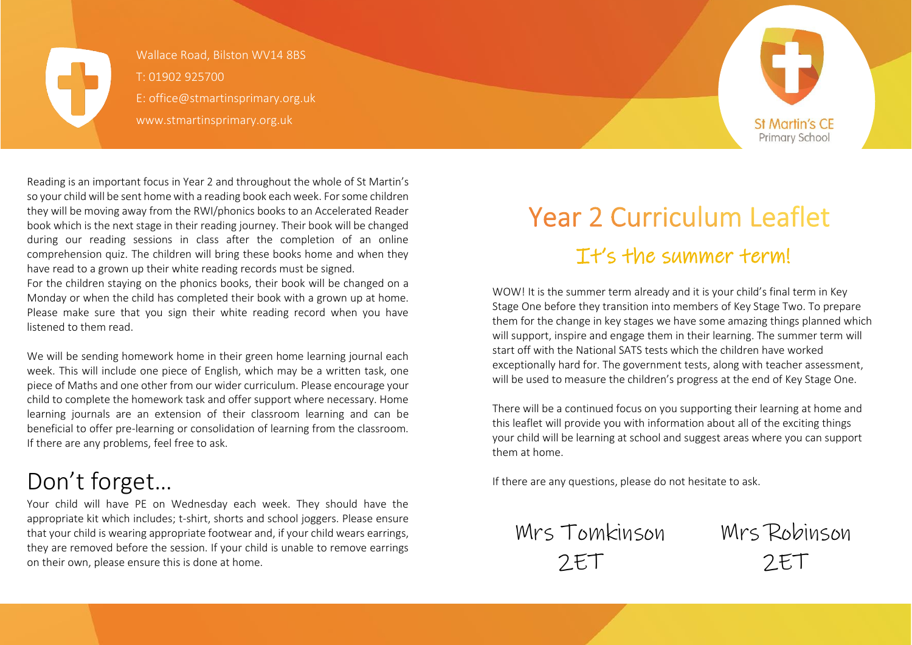

Wallace Road, Bilston WV14 8BS T: 01902 925700 E: office@stmartinsprimary.org.uk www.stmartinsprimary.org.uk



Reading is an important focus in Year 2 and throughout the whole of St Martin's so your child will be sent home with a reading book each week. For some children they will be moving away from the RWI/phonics books to an Accelerated Reader book which is the next stage in their reading journey. Their book will be changed during our reading sessions in class after the completion of an online comprehension quiz. The children will bring these books home and when they have read to a grown up their white reading records must be signed.

For the children staying on the phonics books, their book will be changed on a Monday or when the child has completed their book with a grown up at home. Please make sure that you sign their white reading record when you have listened to them read.

We will be sending homework home in their green home learning journal each week. This will include one piece of English, which may be a written task, one piece of Maths and one other from our wider curriculum. Please encourage your child to complete the homework task and offer support where necessary. Home learning journals are an extension of their classroom learning and can be beneficial to offer pre-learning or consolidation of learning from the classroom. If there are any problems, feel free to ask.

# Don't forget…

Your child will have PE on Wednesday each week. They should have the appropriate kit which includes; t-shirt, shorts and school joggers. Please ensure that your child is wearing appropriate footwear and, if your child wears earrings, they are removed before the session. If your child is unable to remove earrings on their own, please ensure this is done at home.

# **Year 2 Curriculum Leaflet** It's the summer term!

WOW! It is the summer term already and it is your child's final term in Key Stage One before they transition into members of Key Stage Two. To prepare them for the change in key stages we have some amazing things planned which will support, inspire and engage them in their learning. The summer term will start off with the National SATS tests which the children have worked exceptionally hard for. The government tests, along with teacher assessment, will be used to measure the children's progress at the end of Key Stage One.

There will be a continued focus on you supporting their learning at home and this leaflet will provide you with information about all of the exciting things your child will be learning at school and suggest areas where you can support them at home.

If there are any questions, please do not hesitate to ask.

Mrs Tomkinson Mrs Robinson 2ET 2ET